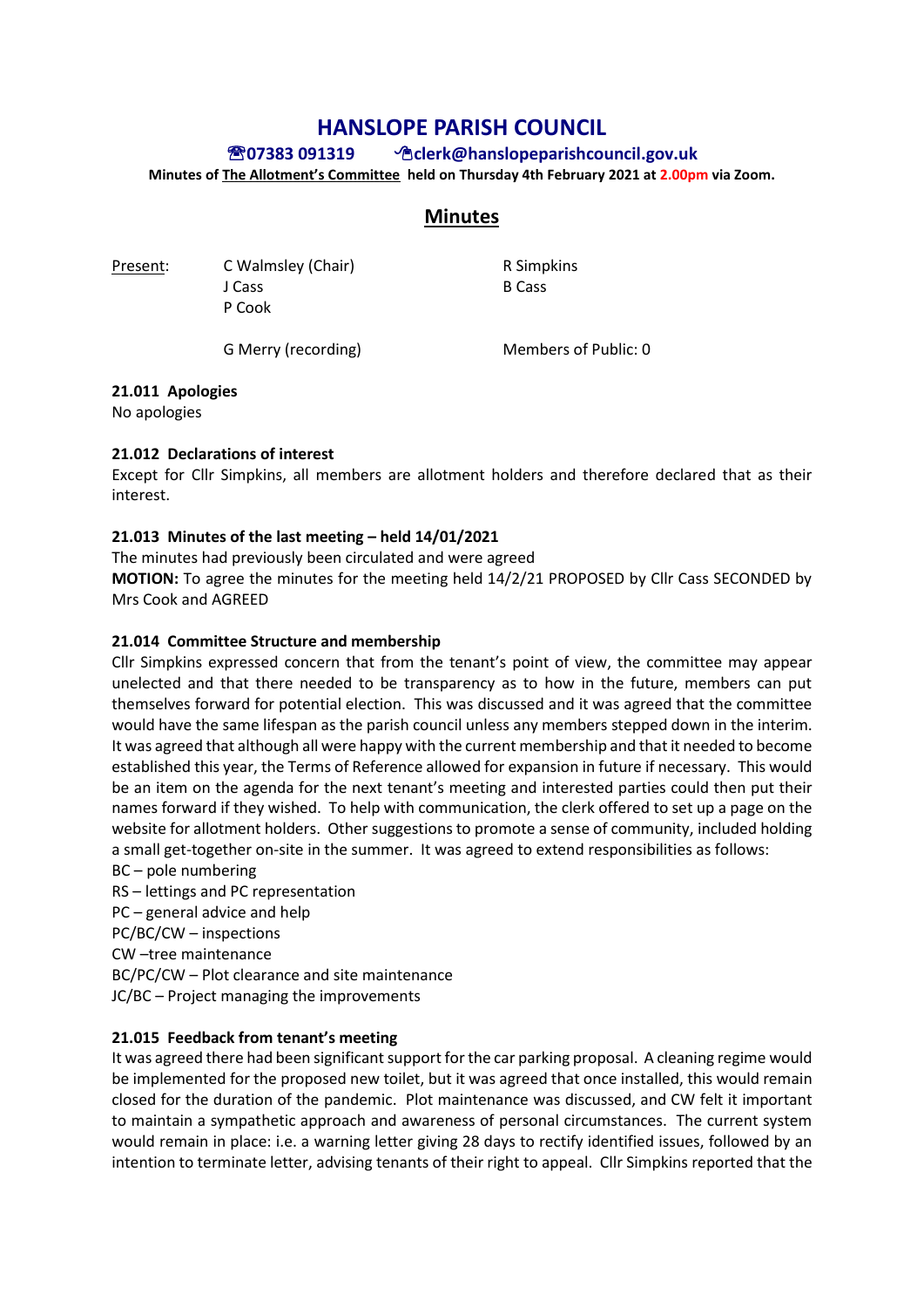# **HANSLOPE PARISH COUNCIL**

# **07383 091319 clerk@hanslopeparishcouncil.gov.uk**

**Minutes of The Allotment's Committee held on Thursday 4th February 2021 at 2.00pm via Zoom.** 

# **Minutes**

Present: C Walmsley (Chair) R Simples J Cass B Cass P Cook

G Merry (recording) Members of Public: 0

## **21.011 Apologies**

No apologies

## **21.012 Declarations of interest**

Except for Cllr Simpkins, all members are allotment holders and therefore declared that as their interest.

## **21.013 Minutes of the last meeting – held 14/01/2021**

The minutes had previously been circulated and were agreed

**MOTION:** To agree the minutes for the meeting held 14/2/21 PROPOSED by Cllr Cass SECONDED by Mrs Cook and AGREED

## **21.014 Committee Structure and membership**

Cllr Simpkins expressed concern that from the tenant's point of view, the committee may appear unelected and that there needed to be transparency as to how in the future, members can put themselves forward for potential election. This was discussed and it was agreed that the committee would have the same lifespan as the parish council unless any members stepped down in the interim. It was agreed that although all were happy with the current membership and that it needed to become established this year, the Terms of Reference allowed for expansion in future if necessary. This would be an item on the agenda for the next tenant's meeting and interested parties could then put their names forward if they wished. To help with communication, the clerk offered to set up a page on the website for allotment holders. Other suggestions to promote a sense of community, included holding a small get-together on-site in the summer. It was agreed to extend responsibilities as follows: BC – pole numbering

RS – lettings and PC representation PC – general advice and help PC/BC/CW – inspections CW –tree maintenance BC/PC/CW – Plot clearance and site maintenance JC/BC – Project managing the improvements

#### **21.015 Feedback from tenant's meeting**

It was agreed there had been significant support for the car parking proposal. A cleaning regime would be implemented for the proposed new toilet, but it was agreed that once installed, this would remain closed for the duration of the pandemic. Plot maintenance was discussed, and CW felt it important to maintain a sympathetic approach and awareness of personal circumstances. The current system would remain in place: i.e. a warning letter giving 28 days to rectify identified issues, followed by an intention to terminate letter, advising tenants of their right to appeal. Cllr Simpkins reported that the